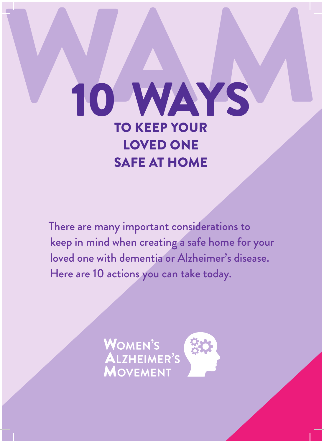## WAM WAYS TO KEEP YOUR LOVED ONE SAFE AT HOME

There are many important considerations to keep in mind when creating a safe home for your loved one with dementia or Alzheimer's disease. Here are 10 actions you can take today.